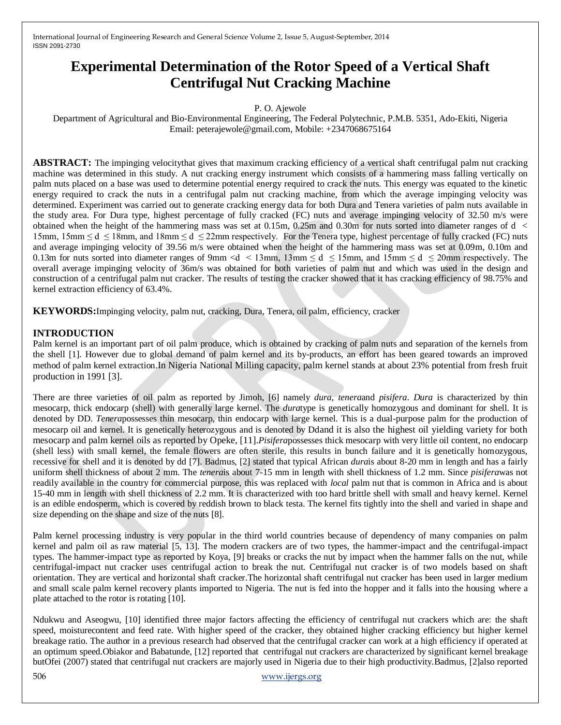# **Experimental Determination of the Rotor Speed of a Vertical Shaft Centrifugal Nut Cracking Machine**

P. O. Ajewole

Department of Agricultural and Bio-Environmental Engineering, The Federal Polytechnic, P.M.B. 5351, Ado-Ekiti, Nigeria Email: peterajewole@gmail.com, Mobile: +2347068675164

**ABSTRACT:** The impinging velocity that gives that maximum cracking efficiency of a vertical shaft centrifugal palm nut cracking machine was determined in this study. A nut cracking energy instrument which consists of a hammering mass falling vertically on palm nuts placed on a base was used to determine potential energy required to crack the nuts. This energy was equated to the kinetic energy required to crack the nuts in a centrifugal palm nut cracking machine, from which the average impinging velocity was determined. Experiment was carried out to generate cracking energy data for both Dura and Tenera varieties of palm nuts available in the study area. For Dura type, highest percentage of fully cracked (FC) nuts and average impinging velocity of 32.50 m/s were obtained when the height of the hammering mass was set at 0.15m, 0.25m and 0.30m for nuts sorted into diameter ranges of d < 15mm,  $15$ mm  $\le d \le 18$ mm, and  $18$ mm  $\le d \le 22$ mm respectively. For the Tenera type, highest percentage of fully cracked (FC) nuts and average impinging velocity of 39.56 m/s were obtained when the height of the hammering mass was set at 0.09m, 0.10m and 0.13m for nuts sorted into diameter ranges of 9mm <d  $\leq$  13mm, 13mm  $\leq$  d  $\leq$  15mm, and 15mm  $\leq$  d  $\leq$  20mm respectively. The overall average impinging velocity of 36m/s was obtained for both varieties of palm nut and which was used in the design and construction of a centrifugal palm nut cracker. The results of testing the cracker showed that it has cracking efficiency of 98.75% and kernel extraction efficiency of 63.4%.

**KEYWORDS:**Impinging velocity, palm nut, cracking, Dura, Tenera, oil palm, efficiency, cracker

#### **INTRODUCTION**

Palm kernel is an important part of oil palm produce, which is obtained by cracking of palm nuts and separation of the kernels from the shell [1]. However due to global demand of palm kernel and its by-products, an effort has been geared towards an improved method of palm kernel extraction.In Nigeria National Milling capacity, palm kernel stands at about 23% potential from fresh fruit production in 1991 [3].

There are three varieties of oil palm as reported by Jimoh, [6] namely *dura*, *tenera*and *pisifera*. *Dura* is characterized by thin mesocarp, thick endocarp (shell) with generally large kernel. The *dura*type is genetically homozygous and dominant for shell. It is denoted by DD. *Tenera*possesses thin mesocarp, thin endocarp with large kernel. This is a dual-purpose palm for the production of mesocarp oil and kernel. It is genetically heterozygous and is denoted by Ddand it is also the highest oil yielding variety for both mesocarp and palm kernel oils as reported by Opeke, [11].*Pisifera*possesses thick mesocarp with very little oil content, no endocarp (shell less) with small kernel, the female flowers are often sterile, this results in bunch failure and it is genetically homozygous, recessive for shell and it is denoted by dd [7]. Badmus, [2] stated that typical African *dura*is about 8-20 mm in length and has a fairly uniform shell thickness of about 2 mm. The *tenera*is about 7-15 mm in length with shell thickness of 1.2 mm. Since *pisifera*was not readily available in the country for commercial purpose, this was replaced with *local* palm nut that is common in Africa and is about 15-40 mm in length with shell thickness of 2.2 mm. It is characterized with too hard brittle shell with small and heavy kernel. Kernel is an edible endosperm, which is covered by reddish brown to black testa. The kernel fits tightly into the shell and varied in shape and size depending on the shape and size of the nuts [8].

Palm kernel processing industry is very popular in the third world countries because of dependency of many companies on palm kernel and palm oil as raw material [5, 13]. The modern crackers are of two types, the hammer-impact and the centrifugal-impact types. The hammer-impact type as reported by Koya, [9] breaks or cracks the nut by impact when the hammer falls on the nut, while centrifugal-impact nut cracker uses centrifugal action to break the nut. Centrifugal nut cracker is of two models based on shaft orientation. They are vertical and horizontal shaft cracker.The horizontal shaft centrifugal nut cracker has been used in larger medium and small scale palm kernel recovery plants imported to Nigeria. The nut is fed into the hopper and it falls into the housing where a plate attached to the rotor is rotating [10].

Ndukwu and Aseogwu, [10] identified three major factors affecting the efficiency of centrifugal nut crackers which are: the shaft speed, moisturecontent and feed rate. With higher speed of the cracker, they obtained higher cracking efficiency but higher kernel breakage ratio. The author in a previous research had observed that the centrifugal cracker can work at a high efficiency if operated at an optimum speed.Obiakor and Babatunde, [12] reported that centrifugal nut crackers are characterized by significant kernel breakage butOfei (2007) stated that centrifugal nut crackers are majorly used in Nigeria due to their high productivity.Badmus, [2]also reported

506 [www.ijergs.org](http://www.ijergs.org/)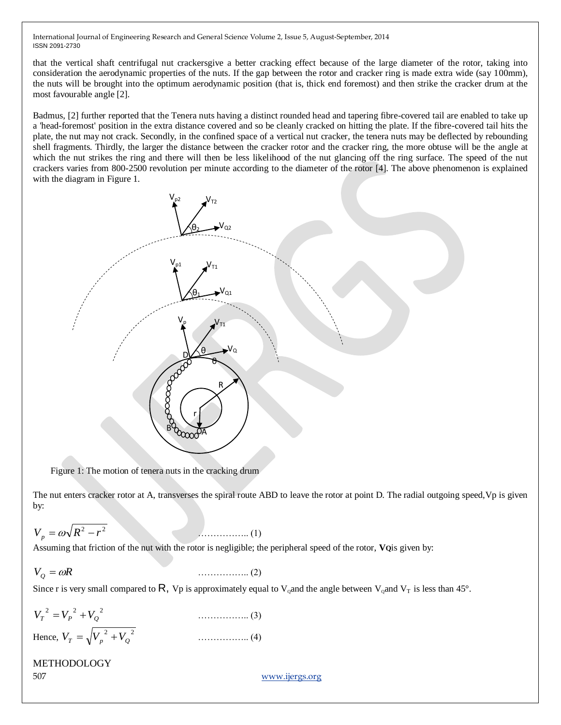that the vertical shaft centrifugal nut crackersgive a better cracking effect because of the large diameter of the rotor, taking into consideration the aerodynamic properties of the nuts. If the gap between the rotor and cracker ring is made extra wide (say 100mm), the nuts will be brought into the optimum aerodynamic position (that is, thick end foremost) and then strike the cracker drum at the most favourable angle [2].

Badmus, [2] further reported that the Tenera nuts having a distinct rounded head and tapering fibre-covered tail are enabled to take up a 'head-foremost' position in the extra distance covered and so be cleanly cracked on hitting the plate. If the fibre-covered tail hits the plate, the nut may not crack. Secondly, in the confined space of a vertical nut cracker, the tenera nuts may be deflected by rebounding shell fragments. Thirdly, the larger the distance between the cracker rotor and the cracker ring, the more obtuse will be the angle at which the nut strikes the ring and there will then be less likelihood of the nut glancing off the ring surface. The speed of the nut crackers varies from 800-2500 revolution per minute according to the diameter of the rotor [4]. The above phenomenon is explained with the diagram in Figure 1.



Figure 1: The motion of tenera nuts in the cracking drum

The nut enters cracker rotor at A, transverses the spiral route ABD to leave the rotor at point D. The radial outgoing speed,Vp is given by:

$$
V_p = \omega \sqrt{R^2 - r^2} \tag{1}
$$

Assuming that friction of the nut with the rotor is negligible; the peripheral speed of the rotor, **VQ**is given by:

$$
V_Q = \omega R \tag{2}
$$

Since r is very small compared to R, Vp is approximately equal to V<sub>o</sub>and the angle between V<sub>o</sub>and V<sub>T</sub> is less than 45°.

| $V_T^2 = V_P^2 + V_O^2$             |                                          |
|-------------------------------------|------------------------------------------|
| Hence, $V_T = \sqrt{V_p^2 + V_Q^2}$ | $\ldots \ldots \ldots \ldots \ldots (4)$ |

### METHODOLOGY

507 [www.ijergs.org](http://www.ijergs.org/)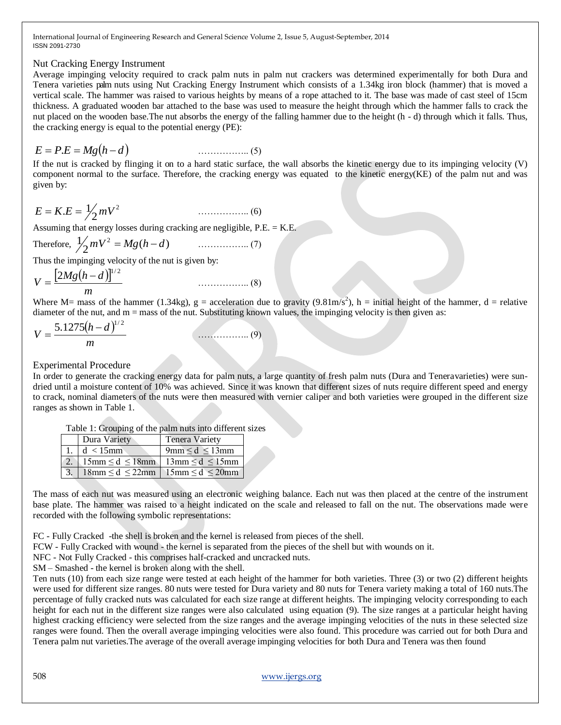#### Nut Cracking Energy Instrument

Average impinging velocity required to crack palm nuts in palm nut crackers was determined experimentally for both Dura and Tenera varieties palm nuts using Nut Cracking Energy Instrument which consists of a 1.34kg iron block (hammer) that is moved a vertical scale. The hammer was raised to various heights by means of a rope attached to it. The base was made of cast steel of 15cm thickness. A graduated wooden bar attached to the base was used to measure the height through which the hammer falls to crack the nut placed on the wooden base.The nut absorbs the energy of the falling hammer due to the height (h - d) through which it falls. Thus, the cracking energy is equal to the potential energy (PE):

$$
E = P.E = Mg(h - d)
$$
\n
$$
\qquad \qquad (5)
$$

If the nut is cracked by flinging it on to a hard static surface, the wall absorbs the kinetic energy due to its impinging velocity  $(V)$ component normal to the surface. Therefore, the cracking energy was equated to the kinetic energy(KE) of the palm nut and was given by:

$$
E = K.E = \frac{1}{2} mV^2
$$
 (6)

Assuming that energy losses during cracking are negligible, P.E. = K.E.

Therefore,  $\frac{1}{2} mV^2 = Mg(h-d)$  (7)

Thus the impinging velocity of the nut is given by:

$$
V = \frac{[2Mg(h-d)]^{1/2}}{m}
$$
 (8)

Where M= mass of the hammer (1.34kg),  $g =$  acceleration due to gravity (9.81m/s<sup>2</sup>), h = initial height of the hammer, d = relative diameter of the nut, and  $m =$  mass of the nut. Substituting known values, the impinging velocity is then given as:

$$
V = \frac{5.1275(h-d)^{1/2}}{m}
$$
 (9)

#### Experimental Procedure

In order to generate the cracking energy data for palm nuts, a large quantity of fresh palm nuts (Dura and Teneravarieties) were sundried until a moisture content of 10% was achieved. Since it was known that different sizes of nuts require different speed and energy to crack, nominal diameters of the nuts were then measured with vernier caliper and both varieties were grouped in the different size ranges as shown in Table 1.

| Table 1: Grouping of the palm nuts into different sizes |  |
|---------------------------------------------------------|--|
|---------------------------------------------------------|--|

| Dura Variety                                                            | <b>Tenera Variety</b>                  |
|-------------------------------------------------------------------------|----------------------------------------|
| 1. $d < 15$ mm                                                          | $9 \text{mm} \leq d \leq 13 \text{mm}$ |
| 2.   15mm $\le d \le 18$ mm   13mm $\le d \le 15$ mm                    |                                        |
| $18 \text{mm} \leq d \leq 22 \text{mm}$ 15mm $\leq d \leq 20 \text{mm}$ |                                        |

The mass of each nut was measured using an electronic weighing balance. Each nut was then placed at the centre of the instrument base plate. The hammer was raised to a height indicated on the scale and released to fall on the nut. The observations made were recorded with the following symbolic representations:

FC - Fully Cracked -the shell is broken and the kernel is released from pieces of the shell.

FCW - Fully Cracked with wound - the kernel is separated from the pieces of the shell but with wounds on it.

NFC - Not Fully Cracked - this comprises half-cracked and uncracked nuts.

SM – Smashed - the kernel is broken along with the shell.

Ten nuts (10) from each size range were tested at each height of the hammer for both varieties. Three (3) or two (2) different heights were used for different size ranges. 80 nuts were tested for Dura variety and 80 nuts for Tenera variety making a total of 160 nuts.The percentage of fully cracked nuts was calculated for each size range at different heights. The impinging velocity corresponding to each height for each nut in the different size ranges were also calculated using equation (9). The size ranges at a particular height having highest cracking efficiency were selected from the size ranges and the average impinging velocities of the nuts in these selected size ranges were found. Then the overall average impinging velocities were also found. This procedure was carried out for both Dura and Tenera palm nut varieties.The average of the overall average impinging velocities for both Dura and Tenera was then found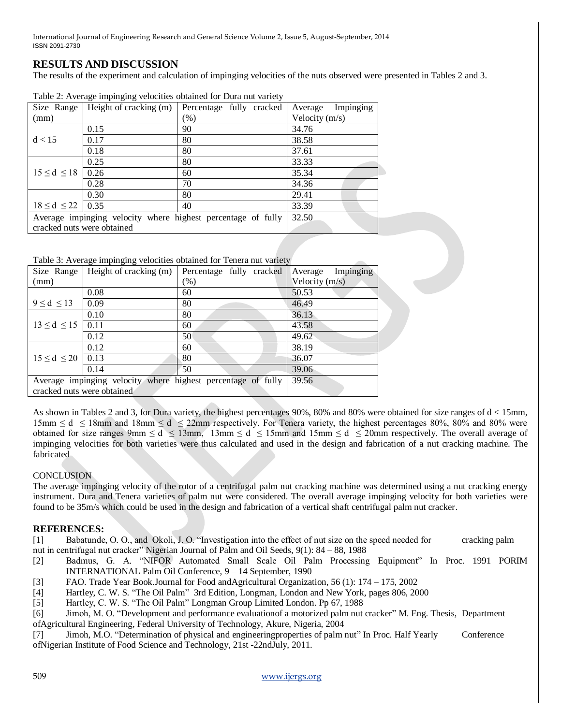## **RESULTS AND DISCUSSION**

The results of the experiment and calculation of impinging velocities of the nuts observed were presented in Tables 2 and 3.

| Size Range                                                   | Height of cracking (m) | racio 2. Tronago impligada velocities obtained for Dara hat variety<br>Percentage fully cracked | Impinging<br>Average |
|--------------------------------------------------------------|------------------------|-------------------------------------------------------------------------------------------------|----------------------|
| (mm)                                                         |                        | $(\%)$                                                                                          | Velocity $(m/s)$     |
|                                                              | 0.15                   | 90                                                                                              | 34.76                |
| d < 15                                                       | 0.17                   | 80                                                                                              | 38.58                |
|                                                              | 0.18                   | 80                                                                                              | 37.61                |
|                                                              | 0.25                   | 80                                                                                              | 33.33                |
| $15 \le d \le 18$                                            | 0.26                   | 60                                                                                              | 35.34                |
|                                                              | 0.28                   | 70                                                                                              | 34.36                |
|                                                              | 0.30                   | 80                                                                                              | 29.41                |
| $18 \le d \le 22$   0.35                                     |                        | 40                                                                                              | 33.39                |
| Average impinging velocity where highest percentage of fully |                        | 32.50                                                                                           |                      |
| cracked nuts were obtained                                   |                        |                                                                                                 |                      |

Table 2: Average impinging velocities obtained for Dura nut variety

#### Table 3: Average impinging velocities obtained for Tenera nut variety

| Size Range                                                   | Height of cracking (m) | Percentage fully cracked | Impinging<br>Average |
|--------------------------------------------------------------|------------------------|--------------------------|----------------------|
| (mm)                                                         |                        | (%)                      | Velocity $(m/s)$     |
|                                                              | 0.08                   | 60                       | 50.53                |
| $9 \le d \le 13$                                             | 0.09                   | 80                       | 46.49                |
|                                                              | 0.10                   | 80                       | 36.13                |
| $13 \le d \le 15$                                            | 0.11                   | 60                       | 43.58                |
|                                                              | 0.12                   | 50                       | 49.62                |
| $15 \le d \le 20$                                            | 0.12                   | 60                       | 38.19                |
|                                                              | 0.13                   | 80                       | 36.07                |
|                                                              | 0.14                   | 50                       | 39.06                |
| Average impinging velocity where highest percentage of fully |                        |                          | 39.56                |
| cracked nuts were obtained                                   |                        |                          |                      |

As shown in Tables 2 and 3, for Dura variety, the highest percentages 90%, 80% and 80% were obtained for size ranges of d < 15mm, 15mm  $\leq d \leq 18$ mm and 18mm  $\leq d \leq 22$ mm respectively. For Tenera variety, the highest percentages 80%, 80% and 80% were obtained for size ranges 9mm  $\le d \le 13$ mm,  $13$ mm  $\le d \le 15$ mm and  $15$ mm  $\le d \le 20$ mm respectively. The overall average of impinging velocities for both varieties were thus calculated and used in the design and fabrication of a nut cracking machine. The fabricated

#### **CONCLUSION**

The average impinging velocity of the rotor of a centrifugal palm nut cracking machine was determined using a nut cracking energy instrument. Dura and Tenera varieties of palm nut were considered. The overall average impinging velocity for both varieties were found to be 35m/s which could be used in the design and fabrication of a vertical shaft centrifugal palm nut cracker.

#### **REFERENCES:**

[1] Babatunde, O. O., and Okoli, J. O. "Investigation into the effect of nut size on the speed needed for cracking palm nut in centrifugal nut cracker" Nigerian Journal of Palm and Oil Seeds, 9(1): 84 – 88, 1988

[2] Badmus, G. A. "NIFOR Automated Small Scale Oil Palm Processing Equipment" In Proc. 1991 PORIM INTERNATIONAL Palm Oil Conference, 9 – 14 September, 1990

[3] FAO. Trade Year Book.Journal for Food andAgricultural Organization, 56 (1): 174 – 175, 2002

[4] Hartley, C. W. S. "The Oil Palm" 3rd Edition, Longman, London and New York, pages 806, 2000

[5] Hartley, C. W. S. "The Oil Palm" Longman Group Limited London. Pp 67, 1988

[6] Jimoh, M. O. "Development and performance evaluationof a motorized palm nut cracker" M. Eng. Thesis, Department ofAgricultural Engineering, Federal University of Technology, Akure, Nigeria, 2004

[7] Jimoh, M.O. "Determination of physical and engineeringproperties of palm nut" In Proc. Half Yearly Conference ofNigerian Institute of Food Science and Technology, 21st -22ndJuly, 2011.